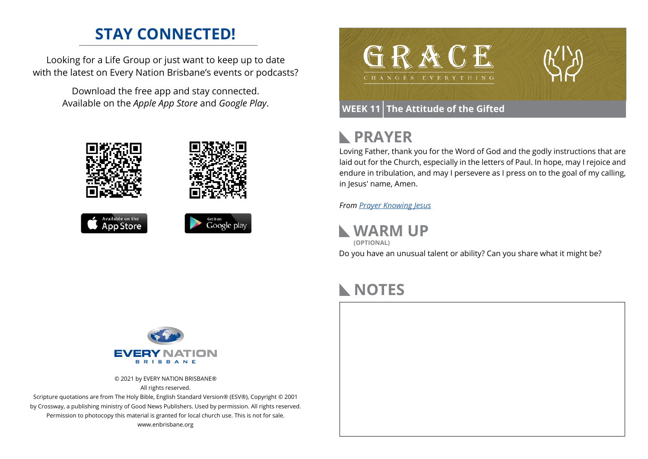### **STAY CONNECTED!**

Looking for a Life Group or just want to keep up to date with the latest on Every Nation Brisbane's events or podcasts?

> Download the free app and stay connected. Available on the *Apple App Store* and *Google Play*.





### **WEEK 11 The Attitude of the Gifted**

### **PRAYER**  $\blacktriangleright$

Loving Father, thank you for the Word of God and the godly instructions that are laid out for the Church, especially in the letters of Paul. In hope, may I rejoice and endure in tribulation, and may I persevere as I press on to the goal of my calling, in Jesus' name, Amen.

*From [Prayer](https://prayer.knowing-jesus.com/Romans/12) Knowing Jesus*

**WARM UP**

Do you have an unusual talent or ability? Can you share what it might be? **(OPTIONAL)**

## **NOTES**



© 2021 by EVERY NATION BRISBANE® All rights reserved.

Scripture quotations are from The Holy Bible, English Standard Version® (ESV®), Copyright © 2001 by Crossway, a publishing ministry of Good News Publishers. Used by permission. All rights reserved. Permission to photocopy this material is granted for local church use. This is not for sale. www.enbrisbane.org